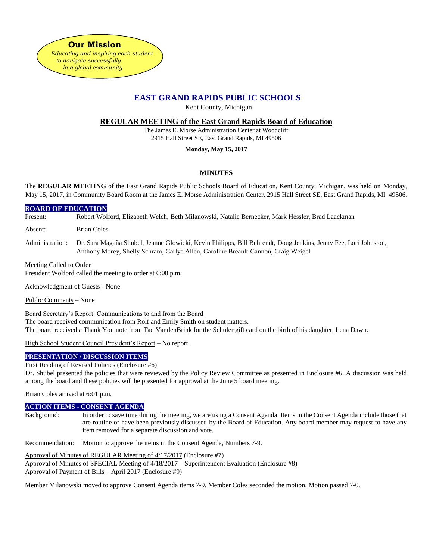

# **EAST GRAND RAPIDS PUBLIC SCHOOLS**

Kent County, Michigan

**REGULAR MEETING of the East Grand Rapids Board of Education**

The James E. Morse Administration Center at Woodcliff 2915 Hall Street SE, East Grand Rapids, MI 49506

# **Monday, May 15, 2017**

# **MINUTES**

The **REGULAR MEETING** of the East Grand Rapids Public Schools Board of Education, Kent County, Michigan, was held on Monday, May 15, 2017, in Community Board Room at the James E. Morse Administration Center, 2915 Hall Street SE, East Grand Rapids, MI 49506.

## **BOARD OF EDUCATION**

Present: Robert Wolford, Elizabeth Welch, Beth Milanowski, Natalie Bernecker, Mark Hessler, Brad Laackman

Absent: Brian Coles

Administration: Dr. Sara Magaña Shubel, Jeanne Glowicki, Kevin Philipps, Bill Behrendt, Doug Jenkins, Jenny Fee, Lori Johnston, Anthony Morey, Shelly Schram, Carlye Allen, Caroline Breault-Cannon, Craig Weigel

#### Meeting Called to Order

President Wolford called the meeting to order at 6:00 p.m.

Acknowledgment of Guests - None

Public Comments – None

Board Secretary's Report: Communications to and from the Board The board received communication from Rolf and Emily Smith on student matters. The board received a Thank You note from Tad VandenBrink for the Schuler gift card on the birth of his daughter, Lena Dawn.

High School Student Council President's Report – No report.

## **PRESENTATION / DISCUSSION ITEMS**

#### First Reading of Revised Policies (Enclosure #6)

Dr. Shubel presented the policies that were reviewed by the Policy Review Committee as presented in Enclosure #6. A discussion was held among the board and these policies will be presented for approval at the June 5 board meeting.

Brian Coles arrived at 6:01 p.m.

## **ACTION ITEMS - CONSENT AGENDA**

Background: In order to save time during the meeting, we are using a Consent Agenda. Items in the Consent Agenda include those that are routine or have been previously discussed by the Board of Education. Any board member may request to have any item removed for a separate discussion and vote.

Recommendation: Motion to approve the items in the Consent Agenda, Numbers 7-9.

Approval of Minutes of REGULAR Meeting of 4/17/2017 (Enclosure #7)

Approval of Minutes of SPECIAL Meeting of 4/18/2017 – Superintendent Evaluation (Enclosure #8)

Approval of Payment of Bills – April 2017 (Enclosure #9)

Member Milanowski moved to approve Consent Agenda items 7-9. Member Coles seconded the motion. Motion passed 7-0.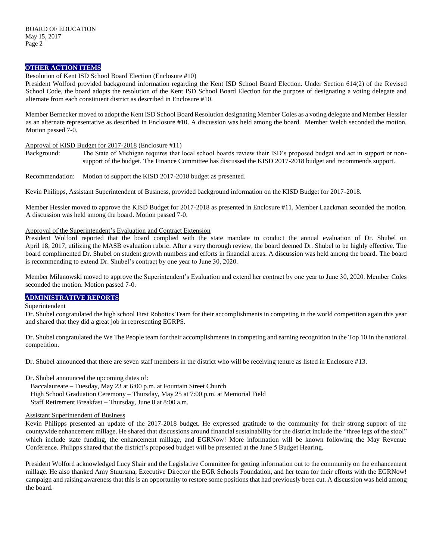# **OTHER ACTION ITEMS**

#### Resolution of Kent ISD School Board Election (Enclosure #10)

President Wolford provided background information regarding the Kent ISD School Board Election. Under Section 614(2) of the Revised School Code, the board adopts the resolution of the Kent ISD School Board Election for the purpose of designating a voting delegate and alternate from each constituent district as described in Enclosure #10.

Member Bernecker moved to adopt the Kent ISD School Board Resolution designating Member Coles as a voting delegate and Member Hessler as an alternate representative as described in Enclosure #10. A discussion was held among the board. Member Welch seconded the motion. Motion passed 7-0.

#### Approval of KISD Budget for 2017-2018 (Enclosure #11)

Background: The State of Michigan requires that local school boards review their ISD's proposed budget and act in support or nonsupport of the budget. The Finance Committee has discussed the KISD 2017-2018 budget and recommends support.

Recommendation: Motion to support the KISD 2017-2018 budget as presented.

Kevin Philipps, Assistant Superintendent of Business, provided background information on the KISD Budget for 2017-2018.

Member Hessler moved to approve the KISD Budget for 2017-2018 as presented in Enclosure #11. Member Laackman seconded the motion. A discussion was held among the board. Motion passed 7-0.

#### Approval of the Superintendent's Evaluation and Contract Extension

President Wolford reported that the board complied with the state mandate to conduct the annual evaluation of Dr. Shubel on April 18, 2017, utilizing the MASB evaluation rubric. After a very thorough review, the board deemed Dr. Shubel to be highly effective. The board complimented Dr. Shubel on student growth numbers and efforts in financial areas. A discussion was held among the board. The board is recommending to extend Dr. Shubel's contract by one year to June 30, 2020.

Member Milanowski moved to approve the Superintendent's Evaluation and extend her contract by one year to June 30, 2020. Member Coles seconded the motion. Motion passed 7-0.

# **ADMINISTRATIVE REPORTS**

#### Superintendent

Dr. Shubel congratulated the high school First Robotics Team for their accomplishments in competing in the world competition again this year and shared that they did a great job in representing EGRPS.

Dr. Shubel congratulated the We The People team for their accomplishments in competing and earning recognition in the Top 10 in the national competition.

Dr. Shubel announced that there are seven staff members in the district who will be receiving tenure as listed in Enclosure #13.

Dr. Shubel announced the upcoming dates of:

Baccalaureate – Tuesday, May 23 at 6:00 p.m. at Fountain Street Church

High School Graduation Ceremony – Thursday, May 25 at 7:00 p.m. at Memorial Field

Staff Retirement Breakfast – Thursday, June 8 at 8:00 a.m.

## Assistant Superintendent of Business

Kevin Philipps presented an update of the 2017-2018 budget. He expressed gratitude to the community for their strong support of the countywide enhancement millage. He shared that discussions around financial sustainability for the district include the "three legs of the stool" which include state funding, the enhancement millage, and EGRNow! More information will be known following the May Revenue Conference. Philipps shared that the district's proposed budget will be presented at the June 5 Budget Hearing.

President Wolford acknowledged Lucy Shair and the Legislative Committee for getting information out to the community on the enhancement millage. He also thanked Amy Stuursma, Executive Director the EGR Schools Foundation, and her team for their efforts with the EGRNow! campaign and raising awareness that this is an opportunity to restore some positions that had previously been cut. A discussion was held among the board.